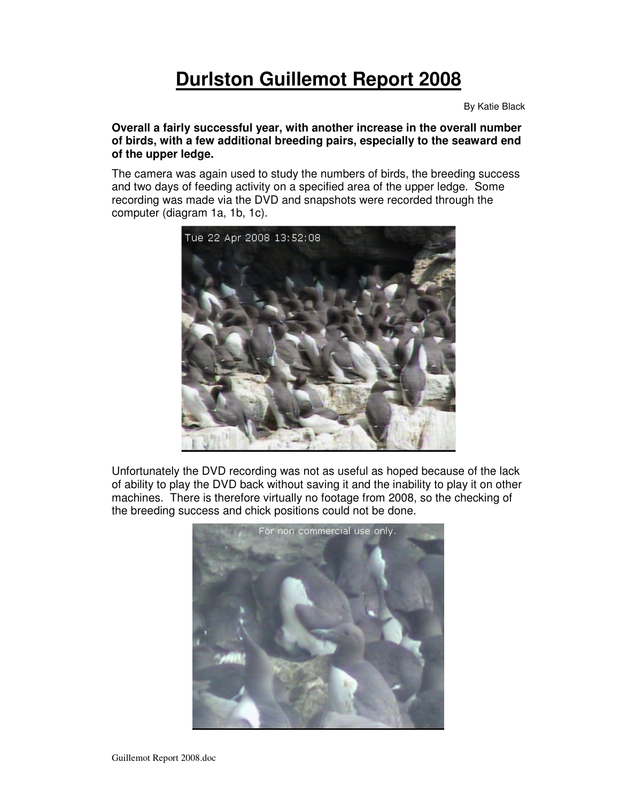# **Durlston Guillemot Report 2008**

By Katie Black

**Overall a fairly successful year, with another increase in the overall number of birds, with a few additional breeding pairs, especially to the seaward end of the upper ledge.**

The camera was again used to study the numbers of birds, the breeding success and two days of feeding activity on a specified area of the upper ledge. Some recording was made via the DVD and snapshots were recorded through the computer (diagram 1a, 1b, 1c).



Unfortunately the DVD recording was not as useful as hoped because of the lack of ability to play the DVD back without saving it and the inability to play it on other machines. There is therefore virtually no footage from 2008, so the checking of the breeding success and chick positions could not be done.

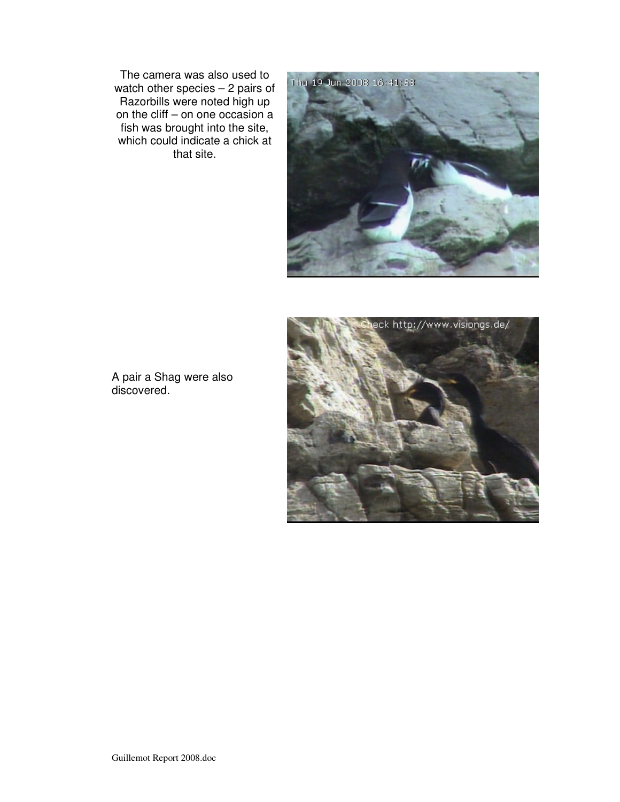The camera was also used to watch other species – 2 pairs of Razorbills were noted high up on the cliff – on one occasion a fish was brought into the site, which could indicate a chick at that site.





A pair a Shag were also discovered.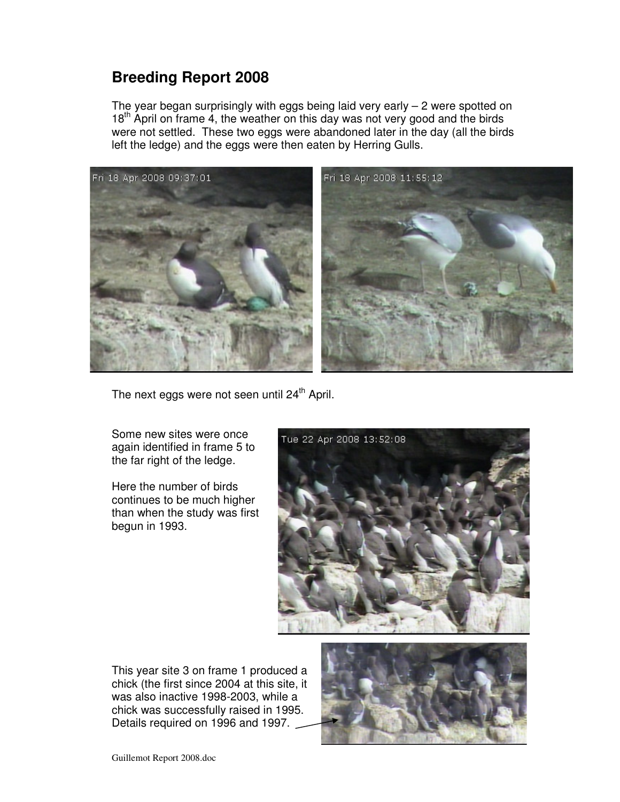### **Breeding Report 2008**

The year began surprisingly with eggs being laid very early  $-2$  were spotted on 18<sup>th</sup> April on frame 4, the weather on this day was not very good and the birds were not settled. These two eggs were abandoned later in the day (all the birds left the ledge) and the eggs were then eaten by Herring Gulls.



The next eggs were not seen until 24<sup>th</sup> April.

Some new sites were once again identified in frame 5 to the far right of the ledge.

Here the number of birds continues to be much higher than when the study was first begun in 1993.



This year site 3 on frame 1 produced a chick (the first since 2004 at this site, it was also inactive 1998-2003, while a chick was successfully raised in 1995. Details required on 1996 and 1997.



Guillemot Report 2008.doc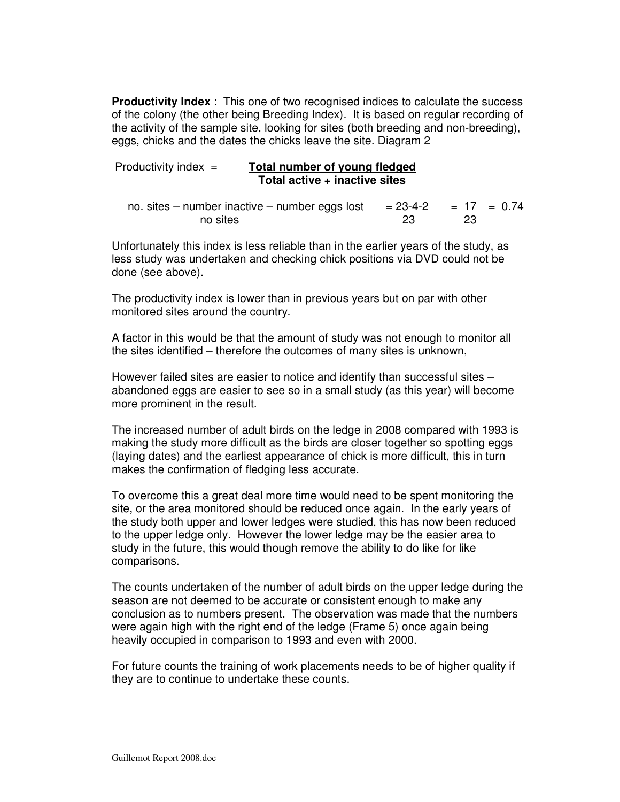**Productivity Index** : This one of two recognised indices to calculate the success of the colony (the other being Breeding Index). It is based on regular recording of the activity of the sample site, looking for sites (both breeding and non-breeding), eggs, chicks and the dates the chicks leave the site. Diagram 2

#### Productivity index = **Total number of young fledged Total active + inactive sites**

no. sites – number inactive – number eggs lost mber inactive – number eggs lost =  $\frac{23-4-2}{23}$  =  $\frac{17}{23}$  = 0.74 no sites

Unfortunately this index is less reliable than in the earlier years of the study, as less study was undertaken and checking chick positions via DVD could not be done (see above).

The productivity index is lower than in previous years but on par with other monitored sites around the country.

A factor in this would be that the amount of study was not enough to monitor all the sites identified – therefore the outcomes of many sites is unknown,

However failed sites are easier to notice and identify than successful sites – abandoned eggs are easier to see so in a small study (as this year) will become more prominent in the result.

The increased number of adult birds on the ledge in 2008 compared with 1993 is making the study more difficult as the birds are closer together so spotting eggs (laying dates) and the earliest appearance of chick is more difficult, this in turn makes the confirmation of fledging less accurate.

To overcome this a great deal more time would need to be spent monitoring the site, or the area monitored should be reduced once again. In the early years of the study both upper and lower ledges were studied, this has now been reduced to the upper ledge only. However the lower ledge may be the easier area to study in the future, this would though remove the ability to do like for like comparisons.

The counts undertaken of the number of adult birds on the upper ledge during the season are not deemed to be accurate or consistent enough to make any conclusion as to numbers present. The observation was made that the numbers were again high with the right end of the ledge (Frame 5) once again being heavily occupied in comparison to 1993 and even with 2000.

For future counts the training of work placements needs to be of higher quality if they are to continue to undertake these counts.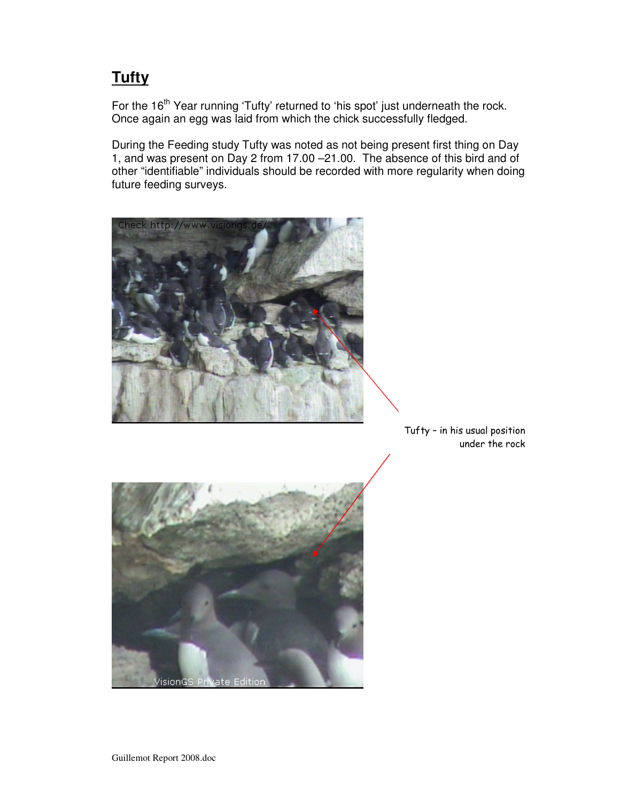## **Tufty**

For the 16<sup>th</sup> Year running 'Tufty' returned to 'his spot' just underneath the rock. Once again an egg was laid from which the chick successfully fledged.

During the Feeding study Tufty was noted as not being present first thing on Day 1, and was present on Day 2 from 17.00 –21.00. The absence of this bird and of other "identifiable" individuals should be recorded with more regularity when doing future feeding surveys.



Tufty – in his usual position under the rock

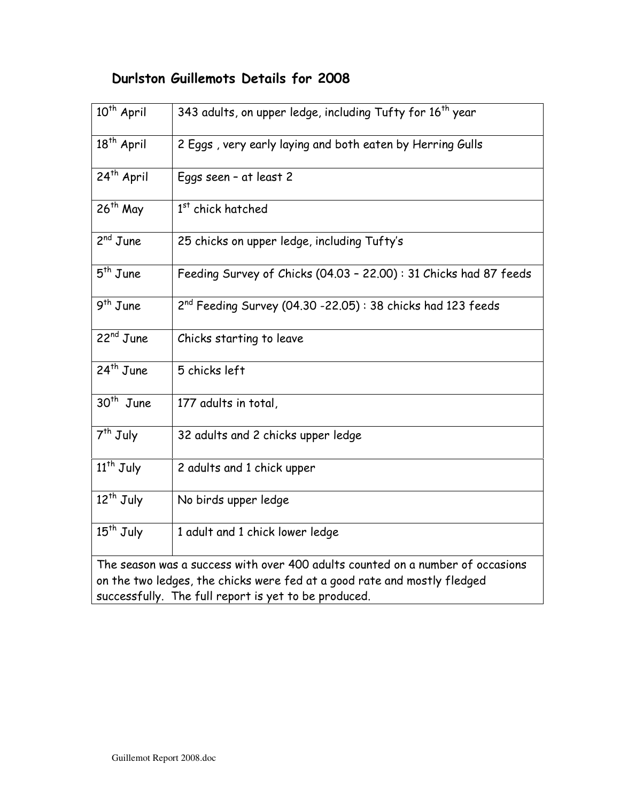#### Durlston Guillemots Details for 2008

| $10^{th}$ April                                                                | 343 adults, on upper ledge, including Tufty for 16 <sup>th</sup> year |
|--------------------------------------------------------------------------------|-----------------------------------------------------------------------|
| 18 <sup>th</sup> April                                                         | 2 Eggs, very early laying and both eaten by Herring Gulls             |
| 24 <sup>th</sup> April                                                         | Eggs seen - at least 2                                                |
| $26th$ May                                                                     | 1 <sup>st</sup> chick hatched                                         |
| $2^{nd}$ June                                                                  | 25 chicks on upper ledge, including Tufty's                           |
| $5th$ June                                                                     | Feeding Survey of Chicks (04.03 - 22.00): 31 Chicks had 87 feeds      |
| $9th$ June                                                                     | $2nd$ Feeding Survey (04.30 -22.05): 38 chicks had 123 feeds          |
| $22nd$ June                                                                    | Chicks starting to leave                                              |
| $24th$ June                                                                    | 5 chicks left                                                         |
| $30th$ June                                                                    | 177 adults in total,                                                  |
| $7th$ July                                                                     | 32 adults and 2 chicks upper ledge                                    |
| $\overline{11}$ <sup>th</sup> July                                             | 2 adults and 1 chick upper                                            |
| $12th$ July                                                                    | No birds upper ledge                                                  |
| $15th$ July                                                                    | 1 adult and 1 chick lower ledge                                       |
| The season was a success with over 400 adults counted on a number of occasions |                                                                       |
| on the two ledges, the chicks were fed at a good rate and mostly fledged       |                                                                       |
| successfully. The full report is yet to be produced.                           |                                                                       |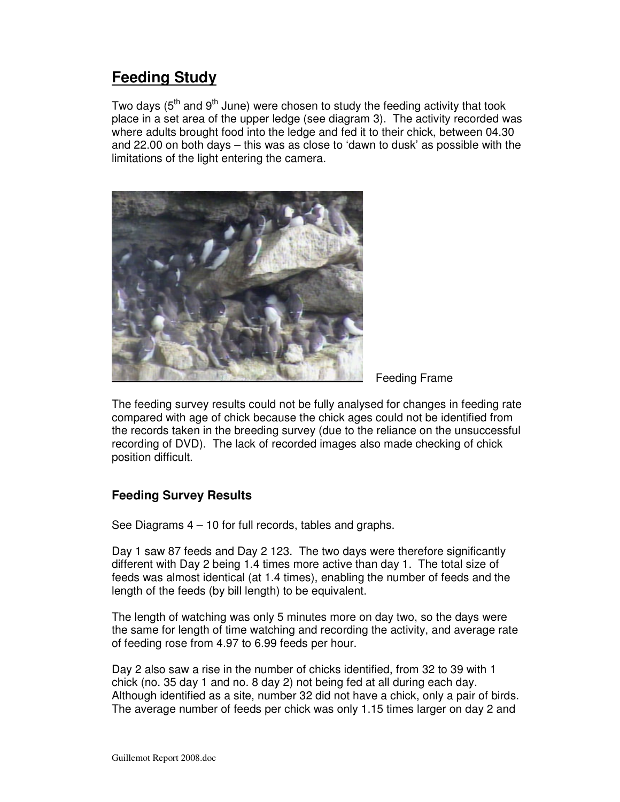### **Feeding Study**

Two days (5<sup>th</sup> and 9<sup>th</sup> June) were chosen to study the feeding activity that took place in a set area of the upper ledge (see diagram 3). The activity recorded was where adults brought food into the ledge and fed it to their chick, between 04.30 and 22.00 on both days – this was as close to 'dawn to dusk' as possible with the limitations of the light entering the camera.



Feeding Frame

The feeding survey results could not be fully analysed for changes in feeding rate compared with age of chick because the chick ages could not be identified from the records taken in the breeding survey (due to the reliance on the unsuccessful recording of DVD). The lack of recorded images also made checking of chick position difficult.

#### **Feeding Survey Results**

See Diagrams 4 – 10 for full records, tables and graphs.

Day 1 saw 87 feeds and Day 2 123. The two days were therefore significantly different with Day 2 being 1.4 times more active than day 1. The total size of feeds was almost identical (at 1.4 times), enabling the number of feeds and the length of the feeds (by bill length) to be equivalent.

The length of watching was only 5 minutes more on day two, so the days were the same for length of time watching and recording the activity, and average rate of feeding rose from 4.97 to 6.99 feeds per hour.

Day 2 also saw a rise in the number of chicks identified, from 32 to 39 with 1 chick (no. 35 day 1 and no. 8 day 2) not being fed at all during each day. Although identified as a site, number 32 did not have a chick, only a pair of birds. The average number of feeds per chick was only 1.15 times larger on day 2 and